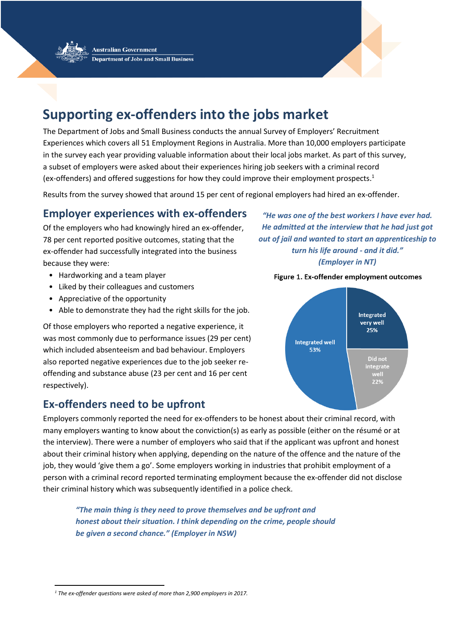**Australian Government Department of Jobs and Small Business** 



# **Supporting ex-offenders into the jobs market**

The Department of Jobs and Small Business conducts the annual Survey of Employers' Recruitment Experiences which covers all 51 Employment Regions in Australia. More than 10,000 employers participate in the survey each year providing valuable information about their local jobs market. As part of this survey, a subset of employers were asked about their experiences hiring job seekers with a criminal record (ex-offenders) and offered suggestions for how they could improve their employment prospects. 1

Results from the survey showed that around 15 per cent of regional employers had hired an ex-offender.

# **Employer experiences with ex-offenders**

Of the employers who had knowingly hired an ex-offender, 78 per cent reported positive outcomes, stating that the ex-offender had successfully integrated into the business because they were:

- Hardworking and a team player
- Liked by their colleagues and customers
- Appreciative of the opportunity
- Able to demonstrate they had the right skills for the job.

Of those employers who reported a negative experience, it was most commonly due to performance issues (29 per cent) which included absenteeism and bad behaviour. Employers also reported negative experiences due to the job seeker reoffending and substance abuse (23 per cent and 16 per cent respectively).

# **Ex-offenders need to be upfront**

*"He was one of the best workers I have ever had. He admitted at the interview that he had just got out of jail and wanted to start an apprenticeship to turn his life around - and it did." (Employer in NT)*

#### Figure 1. Ex-offender employment outcomes



Employers commonly reported the need for ex-offenders to be honest about their criminal record, with many employers wanting to know about the conviction(s) as early as possible (either on the résumé or at the interview). There were a number of employers who said that if the applicant was upfront and honest about their criminal history when applying, depending on the nature of the offence and the nature of the job, they would 'give them a go'. Some employers working in industries that prohibit employment of a person with a criminal record reported terminating employment because the ex-offender did not disclose their criminal history which was subsequently identified in a police check.

*"The main thing is they need to prove themselves and be upfront and honest about their situation. I think depending on the crime, people should be given a second chance." (Employer in NSW)*

 $\overline{a}$ 

*<sup>1</sup> The ex-offender questions were asked of more than 2,900 employers in 2017.*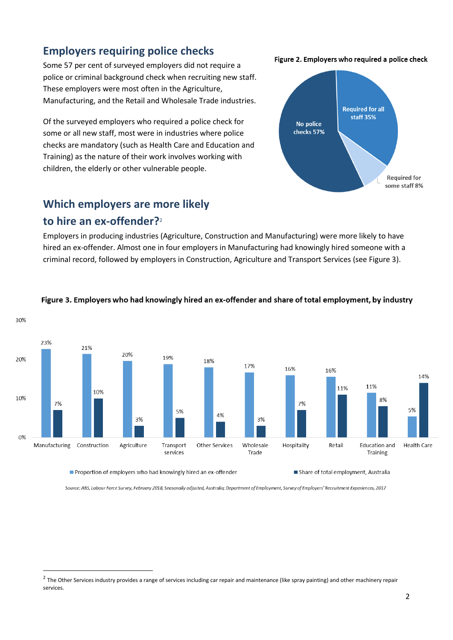# **Employers requiring police checks**

Some 57 per cent of surveyed employers did not require a police or criminal background check when recruiting new staff. These employers were most often in the Agriculture, Manufacturing, and the Retail and Wholesale Trade industries.

Of the surveyed employers who required a police check for some or all new staff, most were in industries where police checks are mandatory (such as Health Care and Education and Training) as the nature of their work involves working with children, the elderly or other vulnerable people.

Proportion of employers who had knowingly hired an ex-offender



Share of total employment. Australia

Figure 2. Employers who required a police check

# **Which employers are more likely**

# **to hire an ex-offender?**<sup>2</sup>

 $\overline{a}$ 

Employers in producing industries (Agriculture, Construction and Manufacturing) were more likely to have hired an ex-offender. Almost one in four employers in Manufacturing had knowingly hired someone with a criminal record, followed by employers in Construction, Agriculture and Transport Services (see Figure 3).



## Figure 3. Employers who had knowingly hired an ex-offender and share of total employment, by industry

Source: ABS, Labour Force Survey, February 2018, Seasonally adjusted, Australia; Department of Employment, Survey of Employers' Recruitment Experiences, 2017

 $^2$  The Other Services industry provides a range of services including car repair and maintenance (like spray painting) and other machinery repair services.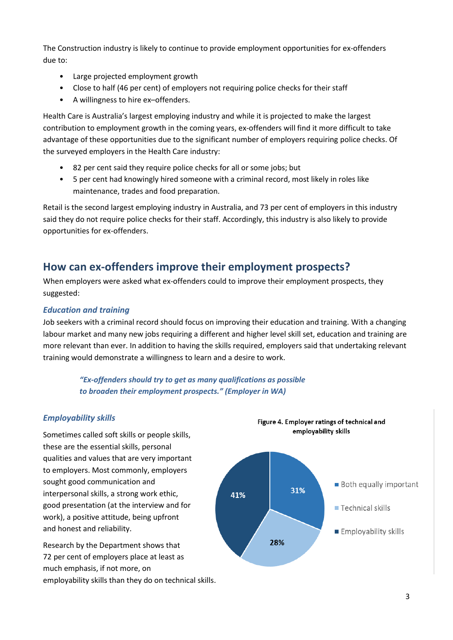The Construction industry is likely to continue to provide employment opportunities for ex-offenders due to:

- Large projected employment growth
- Close to half (46 per cent) of employers not requiring police checks for their staff
- A willingness to hire ex–offenders.

Health Care is Australia's largest employing industry and while it is projected to make the largest contribution to employment growth in the coming years, ex-offenders will find it more difficult to take advantage of these opportunities due to the significant number of employers requiring police checks. Of the surveyed employers in the Health Care industry:

- 82 per cent said they require police checks for all or some jobs; but
- 5 per cent had knowingly hired someone with a criminal record, most likely in roles like maintenance, trades and food preparation.

Retail is the second largest employing industry in Australia, and 73 per cent of employers in this industry said they do not require police checks for their staff. Accordingly, this industry is also likely to provide opportunities for ex-offenders.

# **How can ex-offenders improve their employment prospects?**

When employers were asked what ex-offenders could to improve their employment prospects, they suggested:

## *Education and training*

Job seekers with a criminal record should focus on improving their education and training. With a changing labour market and many new jobs requiring a different and higher level skill set, education and training are more relevant than ever. In addition to having the skills required, employers said that undertaking relevant training would demonstrate a willingness to learn and a desire to work.

*"Ex-offenders should try to get as many qualifications as possible to broaden their employment prospects." (Employer in WA)*

## *Employability skills*

Sometimes called soft skills or people skills, these are the essential skills, personal qualities and values that are very important to employers. Most commonly, employers sought good communication and interpersonal skills, a strong work ethic, good presentation (at the interview and for work), a positive attitude, being upfront and honest and reliability.

Research by the Department shows that 72 per cent of employers place at least as much emphasis, if not more, on employability skills than they do on technical skills.